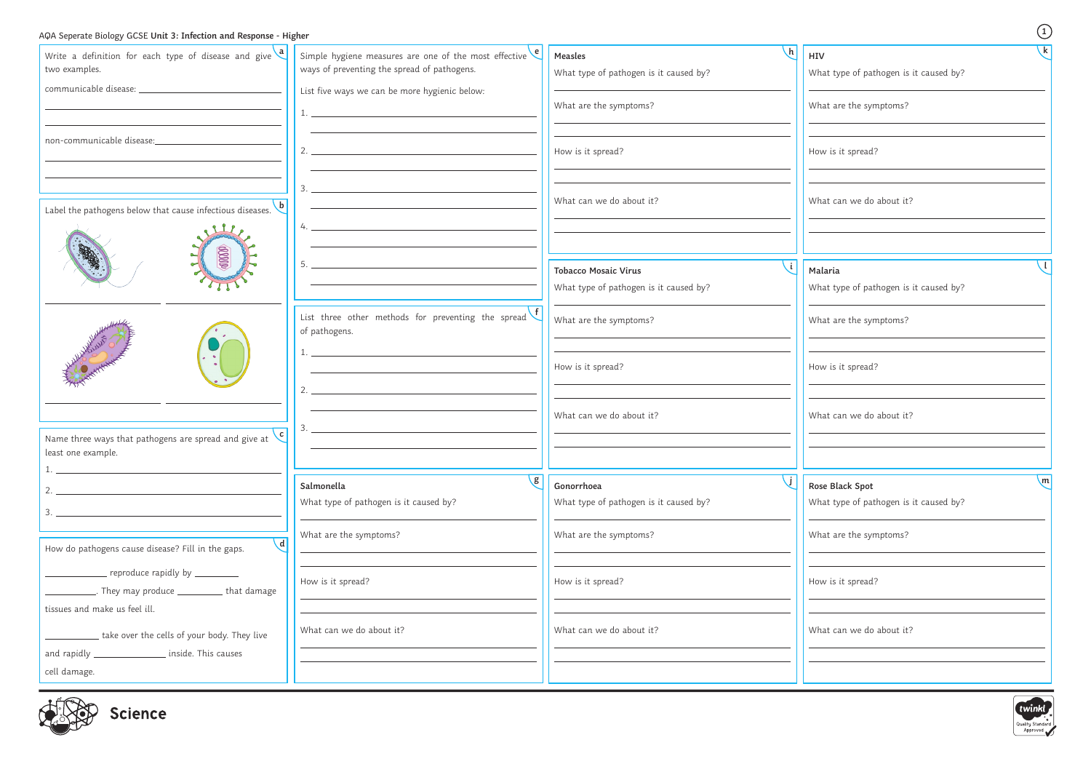| AQA Seperate Biology GCSE Unit 3: Infection and Response - Higher                                |                                                                                                                                                                                                                                                                                                                        |                                                                          | $\begin{pmatrix} 1 \end{pmatrix}$                                         |
|--------------------------------------------------------------------------------------------------|------------------------------------------------------------------------------------------------------------------------------------------------------------------------------------------------------------------------------------------------------------------------------------------------------------------------|--------------------------------------------------------------------------|---------------------------------------------------------------------------|
| Write a definition for each type of disease and give $\frac{a}{2}$<br>two examples.              | Simple hygiene measures are one of the most effective $\epsilon$<br>ways of preventing the spread of pathogens.                                                                                                                                                                                                        | $\lfloor h \rfloor$<br>Measles<br>What type of pathogen is it caused by? | k<br>HIV<br>What type of pathogen is it caused by?                        |
|                                                                                                  | List five ways we can be more hygienic below:                                                                                                                                                                                                                                                                          | What are the symptoms?                                                   | What are the symptoms?                                                    |
| non-communicable disease:                                                                        |                                                                                                                                                                                                                                                                                                                        |                                                                          |                                                                           |
|                                                                                                  | $2.$ $\overline{\phantom{a}}$                                                                                                                                                                                                                                                                                          | How is it spread?                                                        | How is it spread?                                                         |
| Label the pathogens below that cause infectious diseases.                                        | $3.$ $\frac{1}{2}$ $\frac{1}{2}$ $\frac{1}{2}$ $\frac{1}{2}$ $\frac{1}{2}$ $\frac{1}{2}$ $\frac{1}{2}$ $\frac{1}{2}$ $\frac{1}{2}$ $\frac{1}{2}$ $\frac{1}{2}$ $\frac{1}{2}$ $\frac{1}{2}$ $\frac{1}{2}$ $\frac{1}{2}$ $\frac{1}{2}$ $\frac{1}{2}$ $\frac{1}{2}$ $\frac{1}{2}$ $\frac{1}{2}$ $\frac{1}{2}$ $\frac{1}{$ | What can we do about it?                                                 | What can we do about it?                                                  |
|                                                                                                  |                                                                                                                                                                                                                                                                                                                        |                                                                          |                                                                           |
| $\begin{array}{c} \hline \textbf{00000} \end{array}$                                             | 5.                                                                                                                                                                                                                                                                                                                     | <b>Tobacco Mosaic Virus</b><br>What type of pathogen is it caused by?    | Malaria<br>What type of pathogen is it caused by?                         |
|                                                                                                  | List three other methods for preventing the spread<br>of pathogens.                                                                                                                                                                                                                                                    | What are the symptoms?                                                   | What are the symptoms?                                                    |
|                                                                                                  |                                                                                                                                                                                                                                                                                                                        | How is it spread?                                                        | How is it spread?                                                         |
|                                                                                                  | 3.                                                                                                                                                                                                                                                                                                                     | What can we do about it?                                                 | What can we do about it?                                                  |
| Name three ways that pathogens are spread and give at $\binom{c}{c}$<br>least one example.       |                                                                                                                                                                                                                                                                                                                        |                                                                          |                                                                           |
| 2.<br>$3. -$                                                                                     | $\mathsf{g}$<br>Salmonella<br>What type of pathogen is it caused by?                                                                                                                                                                                                                                                   | Gonorrhoea<br>What type of pathogen is it caused by?                     | $\mathsf{m}$<br>Rose Black Spot<br>What type of pathogen is it caused by? |
| $\mathbf{d}$<br>How do pathogens cause disease? Fill in the gaps.                                | What are the symptoms?                                                                                                                                                                                                                                                                                                 | What are the symptoms?                                                   | What are the symptoms?                                                    |
| $\equiv$ reproduce rapidly by $\equiv$<br>___________. They may produce ____________ that damage | How is it spread?                                                                                                                                                                                                                                                                                                      | How is it spread?                                                        | How is it spread?                                                         |
| tissues and make us feel ill.<br>take over the cells of your body. They live                     | What can we do about it?                                                                                                                                                                                                                                                                                               | What can we do about it?                                                 | What can we do about it?                                                  |
| and rapidly ___________________ inside. This causes<br>cell damage.                              |                                                                                                                                                                                                                                                                                                                        |                                                                          |                                                                           |
| $1 - \frac{1}{2}$                                                                                |                                                                                                                                                                                                                                                                                                                        |                                                                          | $\overline{\phantom{a}}$                                                  |



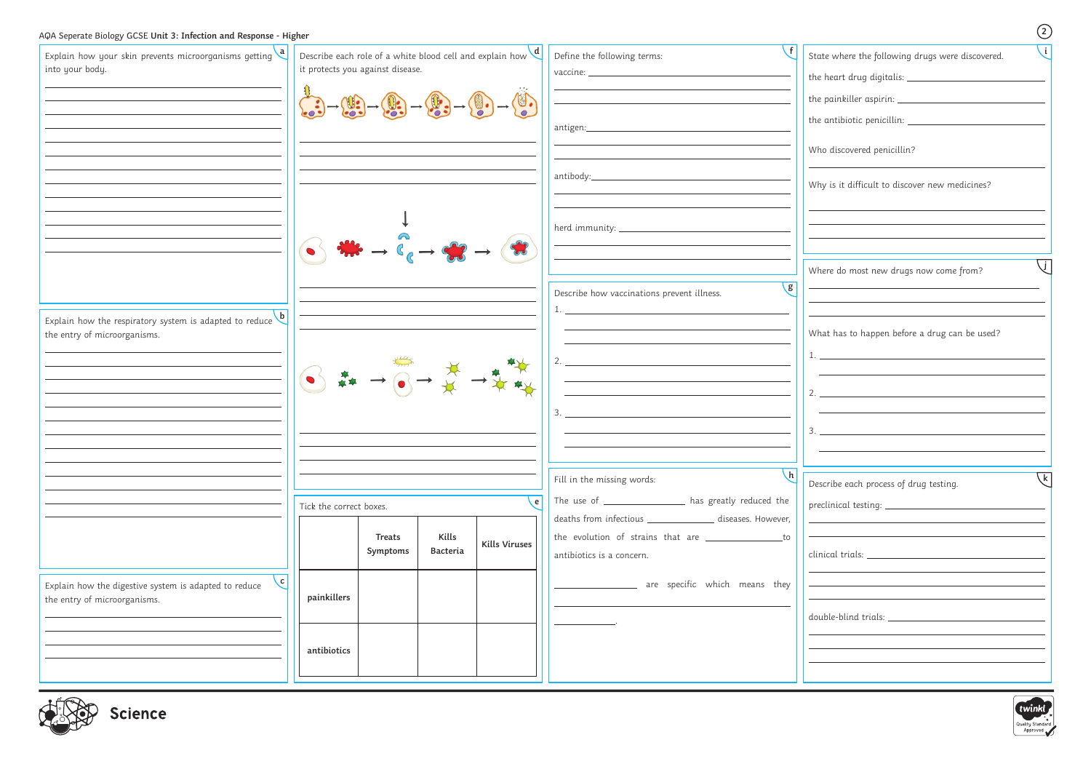| AQA Seperate Biology GCSE Unit 3: Infection and Response - Higher                                      |                                                                                                                                                                                                                                 |                           |                   |                      |                                                                                                                                                                                                                                                                                                                                                                                                                                       | $\circled{2}$                                                                                        |
|--------------------------------------------------------------------------------------------------------|---------------------------------------------------------------------------------------------------------------------------------------------------------------------------------------------------------------------------------|---------------------------|-------------------|----------------------|---------------------------------------------------------------------------------------------------------------------------------------------------------------------------------------------------------------------------------------------------------------------------------------------------------------------------------------------------------------------------------------------------------------------------------------|------------------------------------------------------------------------------------------------------|
| Explain how your skin prevents microorganisms getting $\frac{a}{a}$<br>into your body.                 | Describe each role of a white blood cell and explain how $\frac{d}{dt}$<br>it protects you against disease.                                                                                                                     |                           |                   |                      | Define the following terms:                                                                                                                                                                                                                                                                                                                                                                                                           | State where the following drugs were discovered.                                                     |
|                                                                                                        | $\begin{pmatrix} 0 & 0 & 0 \\ 0 & 0 & 0 \\ 0 & 0 & 0 \end{pmatrix} \rightarrow \begin{pmatrix} 0 & 0 & 0 \\ 0 & 0 & 0 \\ 0 & 0 & 0 \end{pmatrix} \rightarrow \begin{pmatrix} 0 & 0 & 0 \\ 0 & 0 & 0 \\ 0 & 0 & 0 \end{pmatrix}$ |                           |                   |                      | antigen:______________________                                                                                                                                                                                                                                                                                                                                                                                                        |                                                                                                      |
|                                                                                                        |                                                                                                                                                                                                                                 |                           |                   |                      |                                                                                                                                                                                                                                                                                                                                                                                                                                       | Who discovered penicillin?                                                                           |
|                                                                                                        |                                                                                                                                                                                                                                 |                           |                   |                      |                                                                                                                                                                                                                                                                                                                                                                                                                                       | Why is it difficult to discover new medicines?                                                       |
|                                                                                                        |                                                                                                                                                                                                                                 |                           |                   |                      | <u> Alexandria (h. 1878).</u><br>Nobel de la construcción de la construcción de la construcción de la construcción de la construcción de la con                                                                                                                                                                                                                                                                                       |                                                                                                      |
|                                                                                                        |                                                                                                                                                                                                                                 |                           |                   |                      | $\sqrt{g}$<br>Describe how vaccinations prevent illness.                                                                                                                                                                                                                                                                                                                                                                              | Where do most new drugs now come from?                                                               |
| Explain how the respiratory system is adapted to reduce $\overline{b}$<br>the entry of microorganisms. |                                                                                                                                                                                                                                 |                           |                   |                      |                                                                                                                                                                                                                                                                                                                                                                                                                                       | What has to happen before a drug can be used?                                                        |
|                                                                                                        |                                                                                                                                                                                                                                 |                           |                   |                      | $\bigodot \frac{1}{\# 1} \rightarrow \bigodot \rightarrow \frac{1}{\# 1} \rightarrow \frac{1}{\# 1} \frac{1}{\# 1} \times \frac{1}{\# 1} \times \frac{1}{\# 1} \times \frac{1}{\# 1} \times \frac{1}{\# 1} \times \frac{1}{\# 1} \times \frac{1}{\# 1} \times \frac{1}{\# 1} \times \frac{1}{\# 1} \times \frac{1}{\# 1} \times \frac{1}{\# 1} \times \frac{1}{\# 1} \times \frac{1}{\# 1} \times \frac{1}{\# 1} \times \frac{1}{\# $ | $\frac{1}{2}$ .                                                                                      |
|                                                                                                        | $\epsilon$  <br>Tick the correct boxes.                                                                                                                                                                                         |                           |                   |                      |                                                                                                                                                                                                                                                                                                                                                                                                                                       |                                                                                                      |
|                                                                                                        |                                                                                                                                                                                                                                 |                           |                   |                      |                                                                                                                                                                                                                                                                                                                                                                                                                                       |                                                                                                      |
|                                                                                                        |                                                                                                                                                                                                                                 |                           |                   |                      | $\lfloor h \rfloor$<br>Fill in the missing words:                                                                                                                                                                                                                                                                                                                                                                                     | $\overline{\sqrt{k}}$<br>Describe each process of drug testing.                                      |
|                                                                                                        |                                                                                                                                                                                                                                 |                           |                   |                      | The use of _________________ has greatly reduced the<br>deaths from infectious ________________ diseases. However,                                                                                                                                                                                                                                                                                                                    | $\begin{minipage}{.4\linewidth} \textit{preclinical testing:}\quad \textit{________} \end{minipage}$ |
|                                                                                                        |                                                                                                                                                                                                                                 | <b>Treats</b><br>Symptoms | Kills<br>Bacteria | <b>Kills Viruses</b> | the evolution of strains that are ___________________to<br>antibiotics is a concern.                                                                                                                                                                                                                                                                                                                                                  |                                                                                                      |
| c <br>Explain how the digestive system is adapted to reduce<br>the entry of microorganisms.            | painkillers                                                                                                                                                                                                                     |                           |                   |                      | ___________________ are specific which means they                                                                                                                                                                                                                                                                                                                                                                                     |                                                                                                      |
|                                                                                                        |                                                                                                                                                                                                                                 |                           |                   |                      |                                                                                                                                                                                                                                                                                                                                                                                                                                       |                                                                                                      |
|                                                                                                        | antibiotics                                                                                                                                                                                                                     |                           |                   |                      |                                                                                                                                                                                                                                                                                                                                                                                                                                       |                                                                                                      |
|                                                                                                        |                                                                                                                                                                                                                                 |                           |                   |                      |                                                                                                                                                                                                                                                                                                                                                                                                                                       |                                                                                                      |



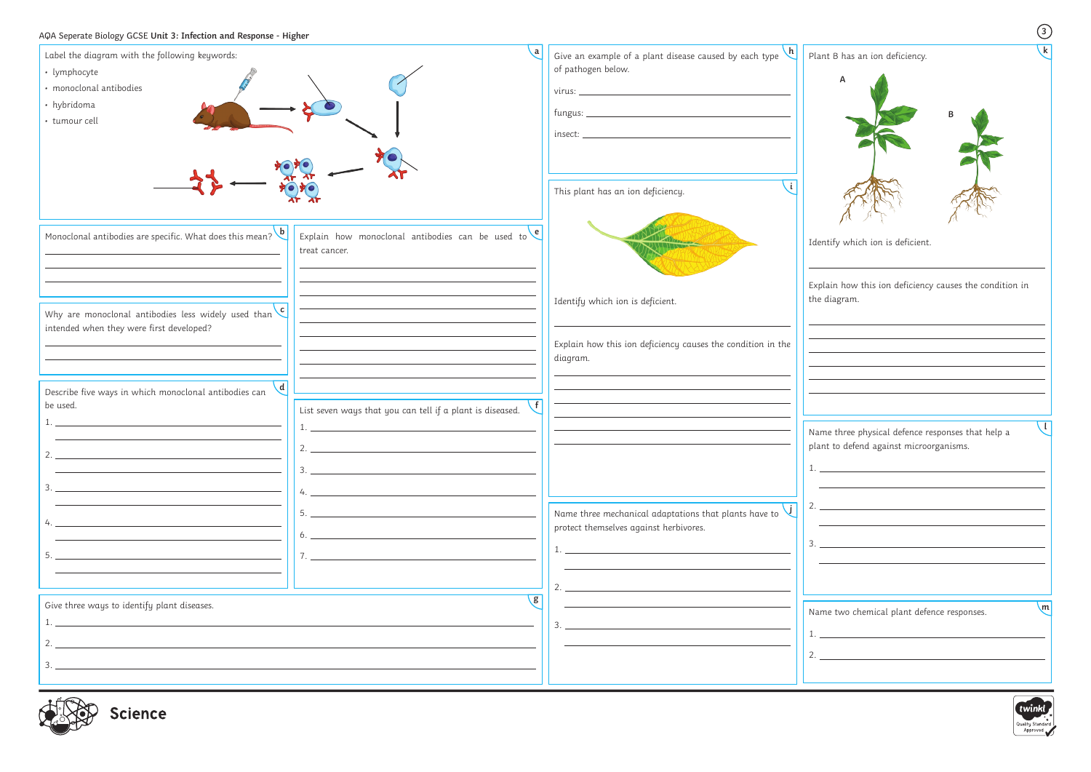| Label the diagram with the following keywords:                                                                        | $\mathbf{a}$                                                | Give an example of a plant disease caused by each type $\hbox{\textbf{h}}$       | $\mathbf k$<br>Plant B has an ion deficiency.                                                                                                    |
|-----------------------------------------------------------------------------------------------------------------------|-------------------------------------------------------------|----------------------------------------------------------------------------------|--------------------------------------------------------------------------------------------------------------------------------------------------|
| • lymphocyte                                                                                                          |                                                             | of pathogen below.                                                               |                                                                                                                                                  |
| · monoclonal antibodies                                                                                               |                                                             |                                                                                  |                                                                                                                                                  |
| • hybridoma                                                                                                           |                                                             |                                                                                  |                                                                                                                                                  |
| · tumour cell                                                                                                         |                                                             |                                                                                  |                                                                                                                                                  |
|                                                                                                                       |                                                             | $\begin{minipage}{.4\linewidth} \hspace*{0.2cm} \textbf{insect:} \end{minipage}$ |                                                                                                                                                  |
|                                                                                                                       |                                                             |                                                                                  |                                                                                                                                                  |
|                                                                                                                       |                                                             |                                                                                  |                                                                                                                                                  |
|                                                                                                                       |                                                             | This plant has an ion deficiency.                                                |                                                                                                                                                  |
|                                                                                                                       |                                                             |                                                                                  |                                                                                                                                                  |
| Monoclonal antibodies are specific. What does this mean? b                                                            | Explain how monoclonal antibodies can be used to $\epsilon$ |                                                                                  |                                                                                                                                                  |
|                                                                                                                       | treat cancer.                                               |                                                                                  | Identify which ion is deficient.                                                                                                                 |
|                                                                                                                       |                                                             |                                                                                  |                                                                                                                                                  |
|                                                                                                                       |                                                             |                                                                                  | Explain how this ion deficiency causes the condition in                                                                                          |
|                                                                                                                       |                                                             | Identify which ion is deficient.                                                 | the diagram.                                                                                                                                     |
| Why are monoclonal antibodies less widely used than $\epsilon$<br>intended when they were first developed?            |                                                             |                                                                                  |                                                                                                                                                  |
|                                                                                                                       |                                                             | Explain how this ion deficiency causes the condition in the                      |                                                                                                                                                  |
|                                                                                                                       |                                                             | diagram.                                                                         |                                                                                                                                                  |
|                                                                                                                       |                                                             |                                                                                  |                                                                                                                                                  |
| $\overline{d}$<br>Describe five ways in which monoclonal antibodies can                                               |                                                             |                                                                                  |                                                                                                                                                  |
| be used.                                                                                                              | List seven ways that you can tell if a plant is diseased.   |                                                                                  |                                                                                                                                                  |
|                                                                                                                       |                                                             |                                                                                  | Name three physical defence responses that help a                                                                                                |
| 2.                                                                                                                    | 2.                                                          |                                                                                  | plant to defend against microorganisms.                                                                                                          |
| <u> 1989 - Johann Barn, mars ann an t-Amhain an t-Amhain an t-Amhain an t-Amhain an t-Amhain an t-Amhain an t-Amh</u> | $\overline{\mathbf{3.}}$                                    |                                                                                  | <u> 1980 - Andrea Andrew Maria (b. 1980)</u>                                                                                                     |
|                                                                                                                       |                                                             |                                                                                  |                                                                                                                                                  |
|                                                                                                                       |                                                             |                                                                                  |                                                                                                                                                  |
|                                                                                                                       |                                                             | Name three mechanical adaptations that plants have to                            |                                                                                                                                                  |
|                                                                                                                       | $\mathfrak{b}.$ $\blacksquare$                              | protect themselves against herbivores.                                           |                                                                                                                                                  |
|                                                                                                                       |                                                             |                                                                                  |                                                                                                                                                  |
|                                                                                                                       |                                                             |                                                                                  |                                                                                                                                                  |
|                                                                                                                       |                                                             |                                                                                  |                                                                                                                                                  |
| Give three ways to identify plant diseases.                                                                           | <b>g</b>                                                    |                                                                                  | $\mathsf{m}$<br>Name two chemical plant defence responses.                                                                                       |
|                                                                                                                       |                                                             |                                                                                  | $\mathbf{r} = \mathbf{r} \cdot \mathbf{r}$ , where $\mathbf{r} = \mathbf{r} \cdot \mathbf{r}$ , where $\mathbf{r} = \mathbf{r} \cdot \mathbf{r}$ |
| $2.$ $\overline{\phantom{a}}$                                                                                         |                                                             |                                                                                  |                                                                                                                                                  |
| 3.                                                                                                                    |                                                             |                                                                                  |                                                                                                                                                  |
|                                                                                                                       |                                                             |                                                                                  |                                                                                                                                                  |
|                                                                                                                       |                                                             |                                                                                  | twinkl                                                                                                                                           |

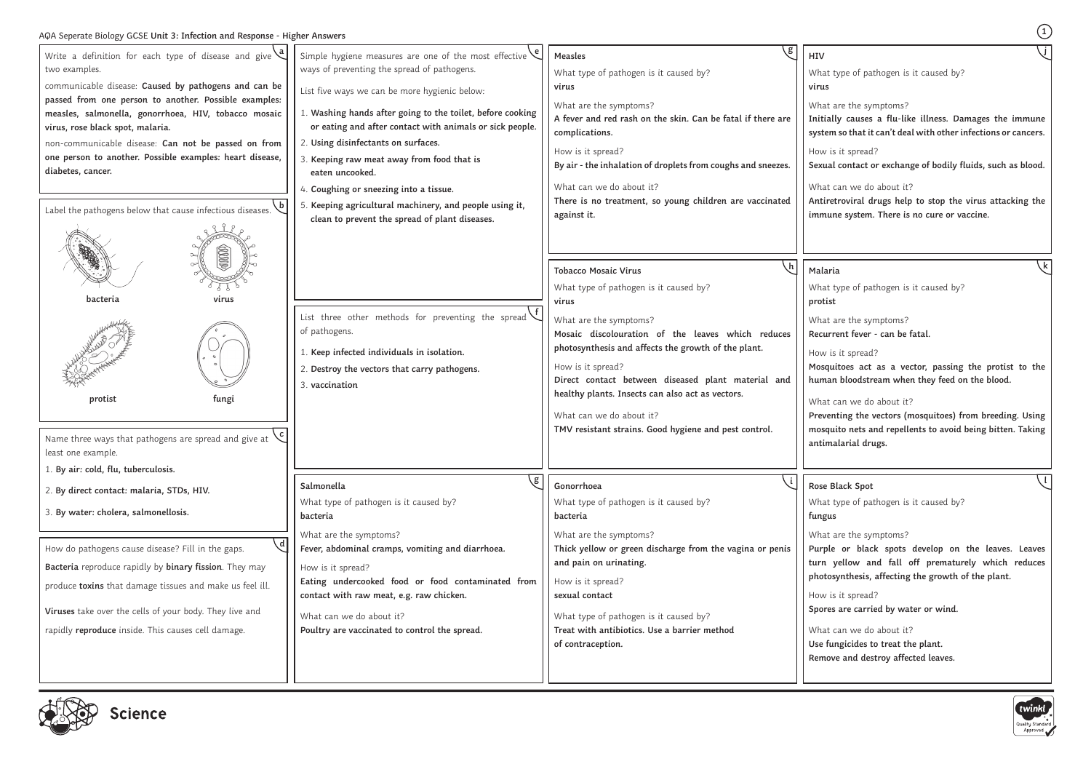# AQA Seperate Biology GCSE **Unit 3: Infection and Response - Higher Answers <sup>1</sup>**

at type of pathogen is it caused by? **protist**

at are the symptoms? **Recurrent fever - can be fatal.**

v is it spread?

**Mosquitoes act as a vector, passing the protist to the**   $n$ an bloodstream when they feed on the blood.

at can we do about it?

at type of pathogen is it caused by? **fungus**

at are the symptoms?

v is it spread? **Spores are carried by water or wind.**

at can we do about it?

fungicides to treat the plant.

at type of pathogen is it caused by? **virus** at are the symptoms? **Initially causes a flu-like illness. Damages the immune system so that it can't deal with other infections or cancers.** v is it spread? **Sexual contact or exchange of bodily fluids, such as blood.** at can we do about it? **j**

**Antiretroviral drugs help to stop the virus attacking the immune system. There is no cure or vaccine.** 

### **Malaria**

**Preventing the vectors (mosquitoes) from breeding. Using mosquito nets and repellents to avoid being bitten. Taking antimalarial drugs.**

# **Rose Black Spot**

**Purple or black spots develop on the leaves. Leaves turn yellow and fall off prematurely which reduces photosynthesis, affecting the growth of the plant.**

| Write a definition for each type of disease and give $\sqrt{a}$<br>two examples.<br>communicable disease: Caused by pathogens and can be<br>passed from one person to another. Possible examples:<br>measles, salmonella, gonorrhoea, HIV, tobacco mosaic<br>virus, rose black spot, malaria.<br>non-communicable disease: Can not be passed on from<br>one person to another. Possible examples: heart disease,<br>diabetes, cancer.<br>$\mathbf{b}$<br>Label the pathogens below that cause infectious diseases. | Simple hygiene measures are one of the most effective $\mathcal{C}$<br>ways of preventing the spread of pathogens.<br>List five ways we can be more hygienic below:<br>1. Washing hands after going to the toilet, before cooking<br>or eating and after contact with animals or sick people.<br>2. Using disinfectants on surfaces.<br>3. Keeping raw meat away from food that is<br>eaten uncooked.<br>4. Coughing or sneezing into a tissue.<br>5. Keeping agricultural machinery, and people using it,<br>clean to prevent the spread of plant diseases. | g<br><b>Measles</b><br>What type of pathogen is it caused by?<br>virus<br>What are the symptoms?<br>A fever and red rash on the skin. Can be fatal if there are<br>complications.<br>How is it spread?<br>By air - the inhalation of droplets from coughs and sneezes.<br>What can we do about it?<br>There is no treatment, so young children are vaccinated<br>against it.                                                             | <b>HIV</b><br>Wha<br>viru<br>Wha<br>Initi<br>syst<br>How<br>Sexu<br>Wha<br>Anti<br>imn             |
|--------------------------------------------------------------------------------------------------------------------------------------------------------------------------------------------------------------------------------------------------------------------------------------------------------------------------------------------------------------------------------------------------------------------------------------------------------------------------------------------------------------------|--------------------------------------------------------------------------------------------------------------------------------------------------------------------------------------------------------------------------------------------------------------------------------------------------------------------------------------------------------------------------------------------------------------------------------------------------------------------------------------------------------------------------------------------------------------|------------------------------------------------------------------------------------------------------------------------------------------------------------------------------------------------------------------------------------------------------------------------------------------------------------------------------------------------------------------------------------------------------------------------------------------|----------------------------------------------------------------------------------------------------|
| bacteria<br>virus<br>fungi<br>protist<br>Name three ways that pathogens are spread and give at<br>least one example.<br>1. By air: cold, flu, tuberculosis.                                                                                                                                                                                                                                                                                                                                                        | List three other methods for preventing the spread<br>of pathogens.<br>1. Keep infected individuals in isolation.<br>2. Destroy the vectors that carry pathogens.<br>3. vaccination                                                                                                                                                                                                                                                                                                                                                                          | <b>Tobacco Mosaic Virus</b><br>What type of pathogen is it caused by?<br>virus<br>What are the symptoms?<br>Mosaic discolouration of the leaves which reduces<br>photosynthesis and affects the growth of the plant.<br>How is it spread?<br>Direct contact between diseased plant material and<br>healthy plants. Insects can also act as vectors.<br>What can we do about it?<br>TMV resistant strains. Good hygiene and pest control. | Mal<br>Wha<br>prot<br>Wha<br>Rect<br>How<br>Mos<br>hun<br>Wha<br>Prey<br>mos<br>anti               |
| 2. By direct contact: malaria, STDs, HIV.<br>3. By water: cholera, salmonellosis.<br>$\mathsf{d}\mathsf{l}$<br>How do pathogens cause disease? Fill in the gaps.<br>Bacteria reproduce rapidly by binary fission. They may<br>produce toxins that damage tissues and make us feel ill.<br>Viruses take over the cells of your body. They live and<br>rapidly reproduce inside. This causes cell damage.                                                                                                            | g)<br>Salmonella<br>What type of pathogen is it caused by?<br>bacteria<br>What are the symptoms?<br>Fever, abdominal cramps, vomiting and diarrhoea.<br>How is it spread?<br>Eating undercooked food or food contaminated from<br>contact with raw meat, e.g. raw chicken.<br>What can we do about it?<br>Poultry are vaccinated to control the spread.                                                                                                                                                                                                      | Gonorrhoea<br>What type of pathogen is it caused by?<br>bacteria<br>What are the symptoms?<br>Thick yellow or green discharge from the vagina or penis<br>and pain on urinating.<br>How is it spread?<br>sexual contact<br>What type of pathogen is it caused by?<br>Treat with antibiotics. Use a barrier method<br>of contraception.                                                                                                   | <b>Rose</b><br>Wha<br>քսոչ<br>Wha<br>Pur<br>turn<br>pho<br>How<br>Spor<br>Wha<br><b>Use</b><br>Rem |



**Remove and destroy affected leaves.**



**k**

 $\sqrt{1}$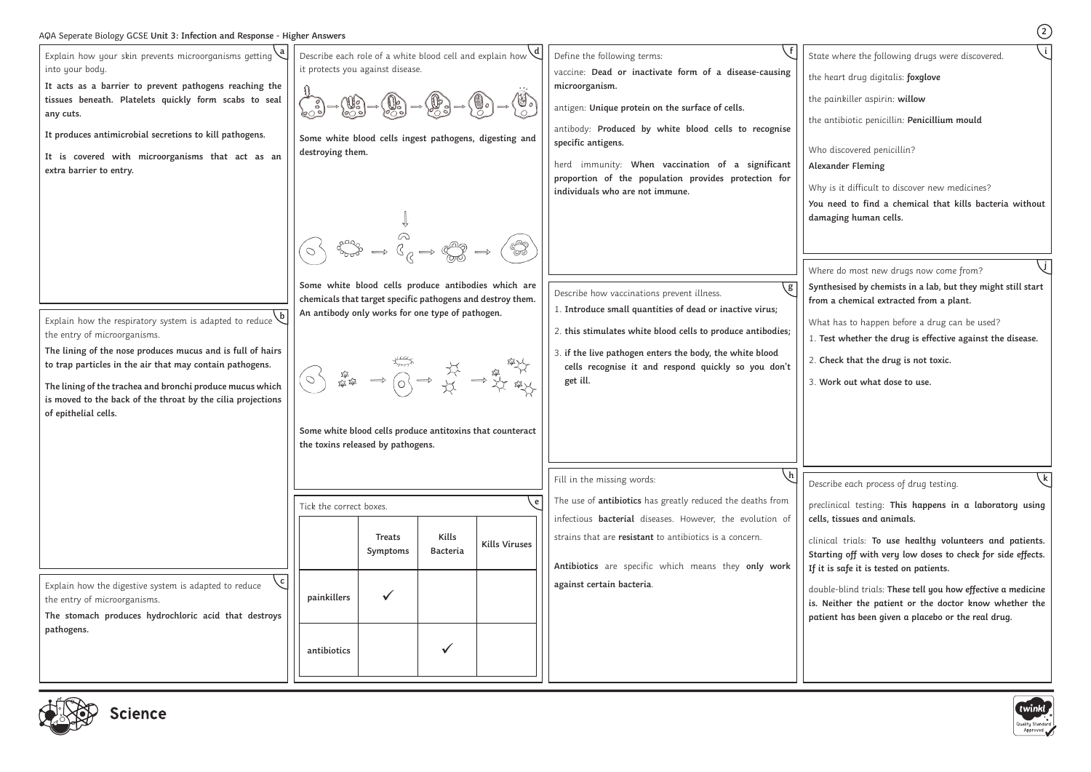# AQA Seperate Biology GCSE **Unit 3: Infection and Response - Higher Answers <sup>2</sup>**

| Explain how your skin prevents microorganisms getting $\left\{ \right.$<br>into your body.<br>It acts as a barrier to prevent pathogens reaching the<br>tissues beneath. Platelets quickly form scabs to seal<br>any cuts.<br>It produces antimicrobial secretions to kill pathogens.<br>It is covered with microorganisms that act as an<br>extra barrier to entry.  | Describe each role of a white blood cell and explain how $\vee$<br>it protects you against disease.<br>(しょ)<br>Some white blood cells ingest pathogens, digesting and<br>destroying them.                                                                                                                                                                                                                                   |                           |                          |                      | Define the following terms:<br>vaccine: Dead or inactivate form of a disease-causing<br>microorganism.<br>antigen: Unique protein on the surface of cells.<br>antibody: Produced by white blood cells to recognise<br>specific antigens.<br>herd immunity: When vaccination of a significant<br>proportion of the population provides protection for<br>individuals who are not immune. | State<br>the h<br>the p<br>the o<br>Who<br>Alexa<br>Why<br>You |
|-----------------------------------------------------------------------------------------------------------------------------------------------------------------------------------------------------------------------------------------------------------------------------------------------------------------------------------------------------------------------|-----------------------------------------------------------------------------------------------------------------------------------------------------------------------------------------------------------------------------------------------------------------------------------------------------------------------------------------------------------------------------------------------------------------------------|---------------------------|--------------------------|----------------------|-----------------------------------------------------------------------------------------------------------------------------------------------------------------------------------------------------------------------------------------------------------------------------------------------------------------------------------------------------------------------------------------|----------------------------------------------------------------|
| Explain how the respiratory system is adapted to reduce<br>the entry of microorganisms.<br>The lining of the nose produces mucus and is full of hairs<br>to trap particles in the air that may contain pathogens.<br>The lining of the trachea and bronchi produce mucus which<br>is moved to the back of the throat by the cilia projections<br>of epithelial cells. | $\begin{array}{ccc} \mathbb{C}^{\infty} & \mathbb{C} & \mathbb{C} \\ \mathbb{C} & \rightarrow & \mathbb{C} \rightarrow & \mathbb{C} \end{array}$<br>Some white blood cells produce antibodies which are<br>chemicals that target specific pathogens and destroy them.<br>An antibody only works for one type of pathogen.<br>Some white blood cells produce antitoxins that counteract<br>the toxins released by pathogens. |                           |                          |                      | Describe how vaccinations prevent illness.<br>1. Introduce small quantities of dead or inactive virus;<br>2. this stimulates white blood cells to produce antibodies;<br>3. if the live pathogen enters the body, the white blood<br>cells recognise it and respond quickly so you don't<br>get ill.                                                                                    | dam<br>Wher<br>Synt<br>from<br>Wha<br>1.7e<br>$2.$ C<br>3. W   |
|                                                                                                                                                                                                                                                                                                                                                                       | Tick the correct boxes.                                                                                                                                                                                                                                                                                                                                                                                                     | <b>Treats</b><br>Symptoms | Kills<br><b>Bacteria</b> | <b>Kills Viruses</b> | $\lfloor h \rfloor$<br>Fill in the missing words:<br>The use of <i>antibiotics</i> has greatly reduced the deaths from<br>infectious <b>bacterial</b> diseases. However, the evolution of<br>strains that are resistant to antibiotics is a concern.<br>Antibiotics are specific which means they only work                                                                             | Desci<br>precl<br>cells,<br>clinio<br>Start<br>If it           |
| $\mathsf{c}$<br>Explain how the digestive system is adapted to reduce<br>the entry of microorganisms.<br>The stomach produces hydrochloric acid that destroys<br>pathogens.                                                                                                                                                                                           | painkillers<br>antibiotics                                                                                                                                                                                                                                                                                                                                                                                                  |                           |                          |                      | against certain bacteria.                                                                                                                                                                                                                                                                                                                                                               | doub<br>is. N<br>patie                                         |



where the following drugs were discovered.

teart drug digitalis: **foxglove** 

the painkiller aspirin: **willow**

antibiotic penicillin: Penicillium mould

discovered penicillin?

## **Alexander Fleming**

is it difficult to discover new medicines?

**You need to find a chemical that kills bacteria without damaging human cells.**

re do most new drugs now come from?

ical trials: **To use healthy volunteers and patients. Starting off with very low doses to check for side effects. If it is safe it is tested on patients.**

ble-blind trials: T<mark>hese tell you how effective a medicine</mark> **is. Neither the patient or the doctor know whether the patient has been given a placebo or the real drug.**



**i**

**Synthesised by chemists in a lab, but they might still start from a chemical extracted from a plant.**

at has to happen before a drug can be used?

1. **Test whether the drug is effective against the disease.**

heck that the drug is not toxic.

3. **Work out what dose to use.**

ribe each process of drug testing.

preclinical testing: **This happens in a laboratory using cells, tissues and animals.**

**j**

**k**